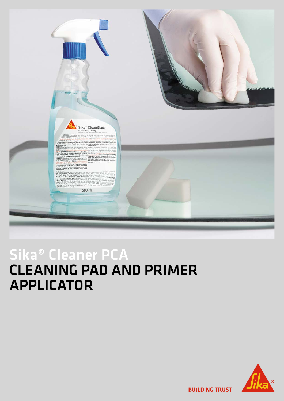

## Sika® Cleaner PCA CLEANING PAD AND PRIMER APPLICATOR



**BUILDING TRUST**